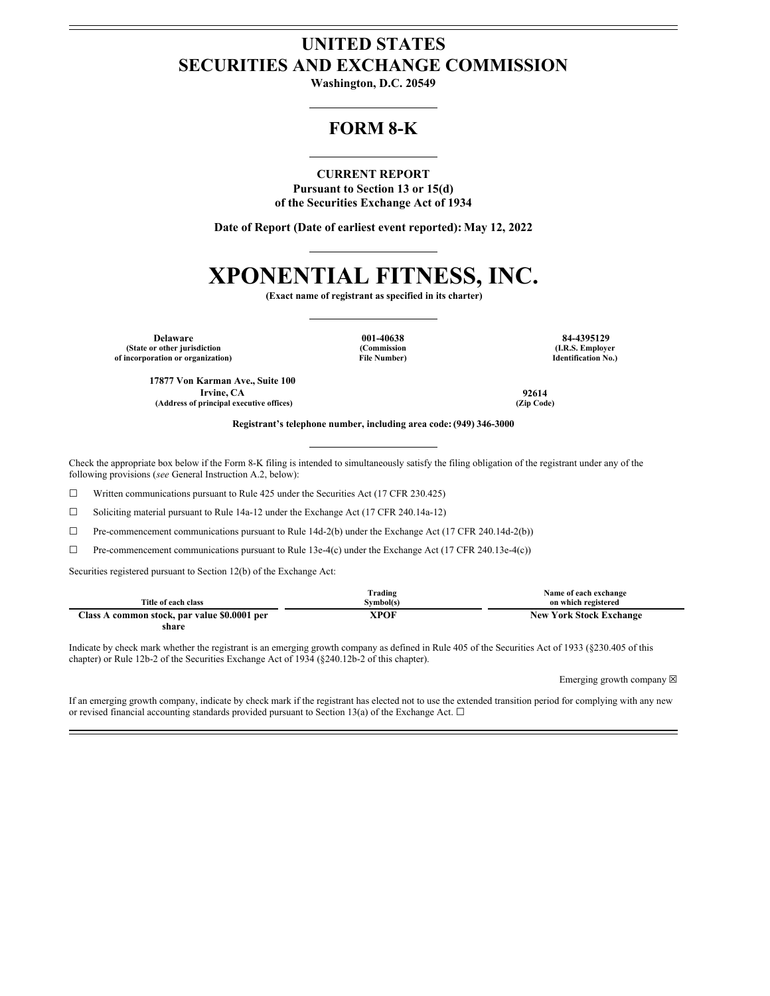# **UNITED STATES SECURITIES AND EXCHANGE COMMISSION**

**Washington, D.C. 20549**

# **FORM 8-K**

**CURRENT REPORT Pursuant to Section 13 or 15(d) of the Securities Exchange Act of 1934**

**Date of Report (Date of earliest event reported): May 12, 2022**

# **XPONENTIAL FITNESS, INC.**

**(Exact name of registrant as specified in its charter)**

**Delaware 001-40638 84-4395129 (State or other jurisdiction of incorporation or organization)**

**(Commission File Number)**

**(I.R.S. Employer Identification No.)**

**17877 Von Karman Ave., Suite 100 Irvine, CA 92614 (Address of principal executive offices) (Zip Code)**

**Registrant's telephone number, including area code: (949) 346-3000**

Check the appropriate box below if the Form 8-K filing is intended to simultaneously satisfy the filing obligation of the registrant under any of the following provisions (*see* General Instruction A.2, below):

☐ Written communications pursuant to Rule 425 under the Securities Act (17 CFR 230.425)

☐ Soliciting material pursuant to Rule 14a-12 under the Exchange Act (17 CFR 240.14a-12)

 $\Box$  Pre-commencement communications pursuant to Rule 14d-2(b) under the Exchange Act (17 CFR 240.14d-2(b))

☐ Pre-commencement communications pursuant to Rule 13e-4(c) under the Exchange Act (17 CFR 240.13e-4(c))

Securities registered pursuant to Section 12(b) of the Exchange Act:

|                                              | Trading   | Name of each exchange          |
|----------------------------------------------|-----------|--------------------------------|
| Title of each class                          | Symbol(s) | on which registered            |
| Class A common stock, par value \$0.0001 per | XPOF      | <b>New York Stock Exchange</b> |
| share                                        |           |                                |

Indicate by check mark whether the registrant is an emerging growth company as defined in Rule 405 of the Securities Act of 1933 (§230.405 of this chapter) or Rule 12b-2 of the Securities Exchange Act of 1934 (§240.12b-2 of this chapter).

Emerging growth company  $\boxtimes$ 

If an emerging growth company, indicate by check mark if the registrant has elected not to use the extended transition period for complying with any new or revised financial accounting standards provided pursuant to Section 13(a) of the Exchange Act.  $\Box$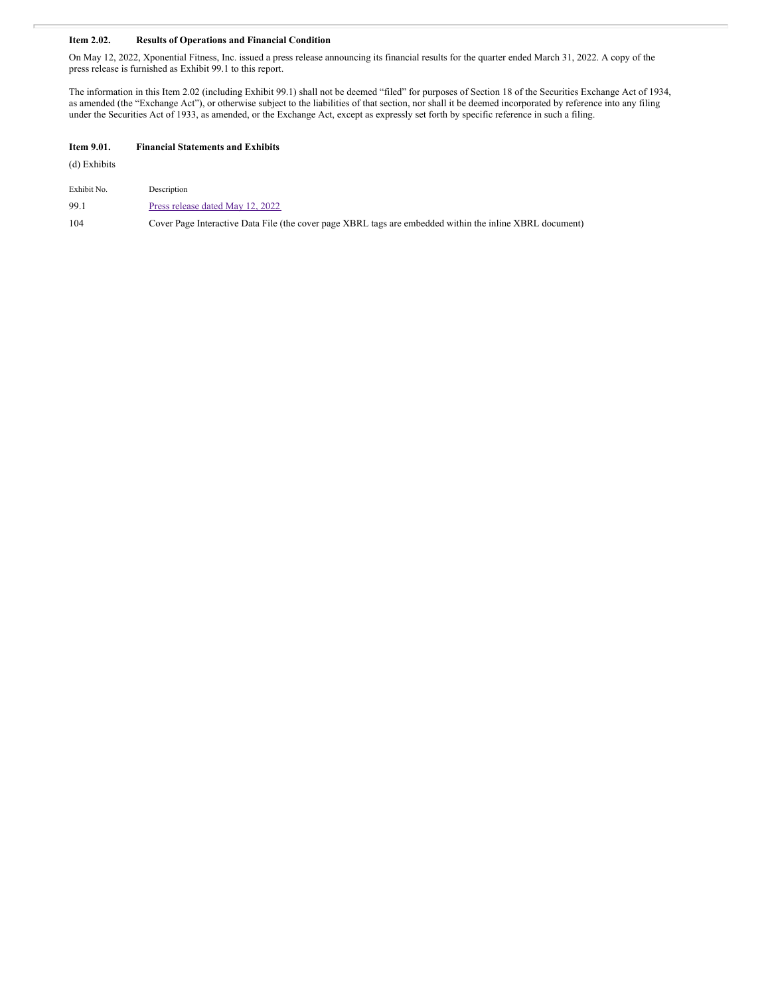## **Item 2.02. Results of Operations and Financial Condition**

On May 12, 2022, Xponential Fitness, Inc. issued a press release announcing its financial results for the quarter ended March 31, 2022. A copy of the press release is furnished as Exhibit 99.1 to this report.

The information in this Item 2.02 (including Exhibit 99.1) shall not be deemed "filed" for purposes of Section 18 of the Securities Exchange Act of 1934, as amended (the "Exchange Act"), or otherwise subject to the liabilities of that section, nor shall it be deemed incorporated by reference into any filing under the Securities Act of 1933, as amended, or the Exchange Act, except as expressly set forth by specific reference in such a filing.

# **Item 9.01. Financial Statements and Exhibits**

(d) Exhibits

| Exhibit No. | Description                      |
|-------------|----------------------------------|
| 99.1        | Press release dated May 12, 2022 |

104 Cover Page Interactive Data File (the cover page XBRL tags are embedded within the inline XBRL document)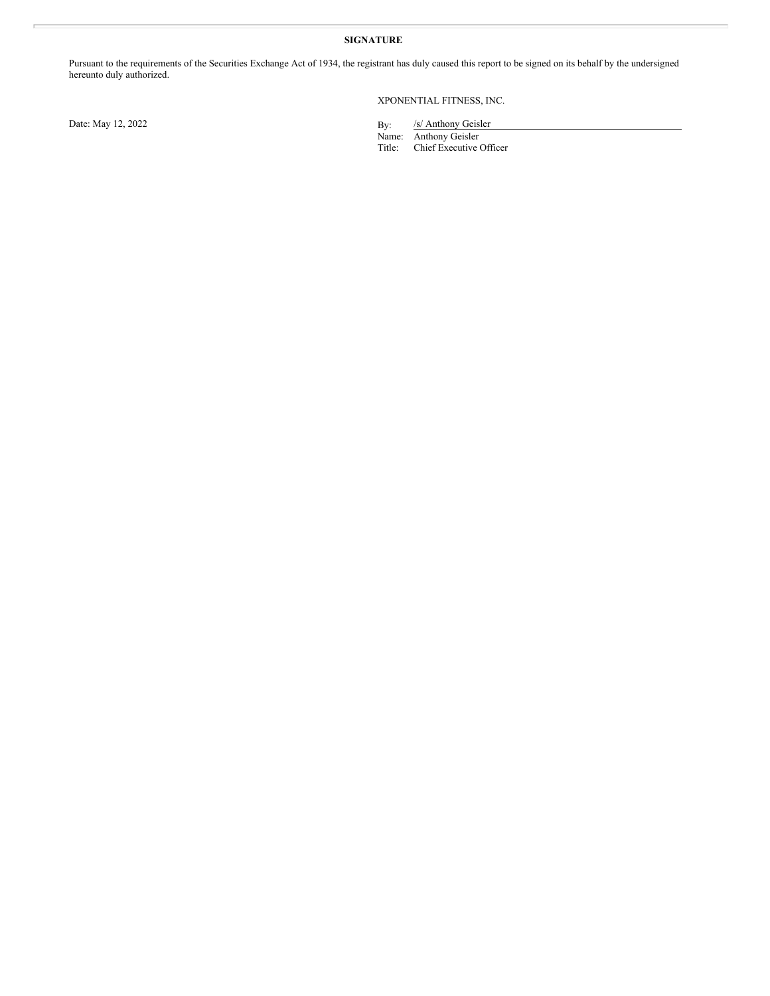## **SIGNATURE**

Pursuant to the requirements of the Securities Exchange Act of 1934, the registrant has duly caused this report to be signed on its behalf by the undersigned hereunto duly authorized.

## XPONENTIAL FITNESS, INC.

Date: May 12, 2022

/s/ Anthony Geisler

Name: Anthony Geisler Title: Chief Executive Officer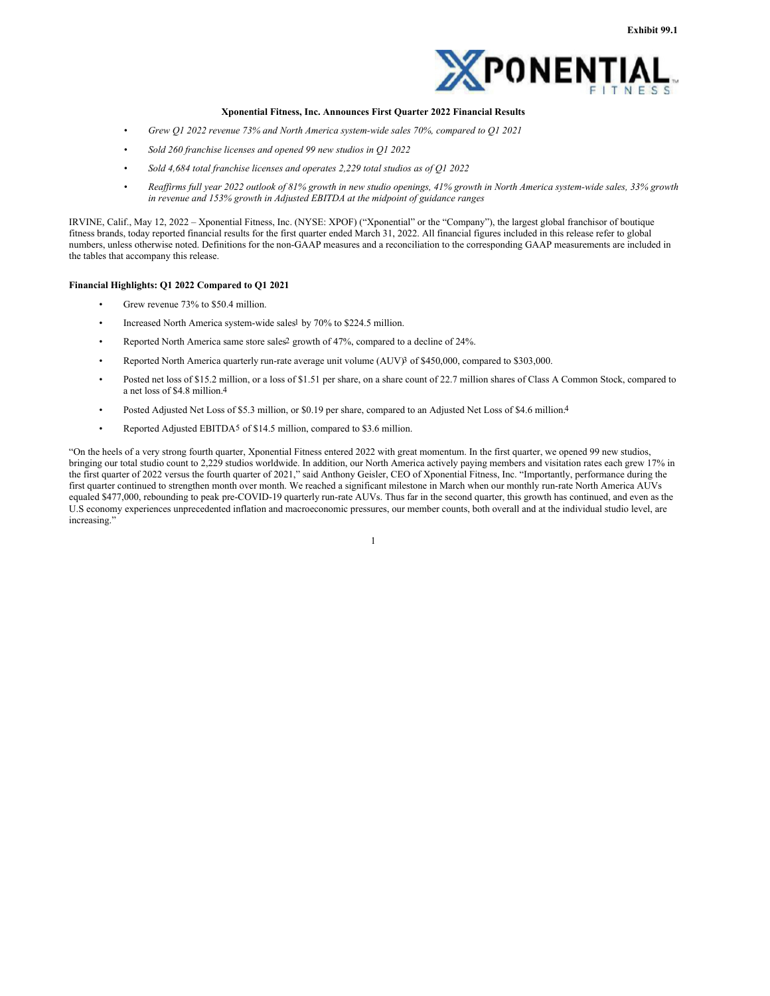

#### **Xponential Fitness, Inc. Announces First Quarter 2022 Financial Results**

- *Grew Q1 2022 revenue 73% and North America system-wide sales 70%, compared to Q1 2021*
- *Sold 260 franchise licenses and opened 99 new studios in Q1 2022*
- *Sold 4,684 total franchise licenses and operates 2,229 total studios as of Q1 2022*
- Reaffirms full year 2022 outlook of 81% growth in new studio openings, 41% growth in North America system-wide sales, 33% growth *in revenue and 153% growth in Adjusted EBITDA at the midpoint of guidance ranges*

IRVINE, Calif., May 12, 2022 – Xponential Fitness, Inc. (NYSE: XPOF) ("Xponential" or the "Company"), the largest global franchisor of boutique fitness brands, today reported financial results for the first quarter ended March 31, 2022. All financial figures included in this release refer to global numbers, unless otherwise noted. Definitions for the non-GAAP measures and a reconciliation to the corresponding GAAP measurements are included in the tables that accompany this release.

#### **Financial Highlights: Q1 2022 Compared to Q1 2021**

- Grew revenue 73% to \$50.4 million.
- Increased North America system-wide sales<sup>1</sup> by 70% to \$224.5 million.
- Reported North America same store sales<sup>2</sup> growth of 47%, compared to a decline of 24%.
- Reported North America quarterly run-rate average unit volume (AUV)3 of \$450,000, compared to \$303,000.
- Posted net loss of \$15.2 million, or a loss of \$1.51 per share, on a share count of 22.7 million shares of Class A Common Stock, compared to a net loss of \$4.8 million.4
- Posted Adjusted Net Loss of \$5.3 million, or \$0.19 per share, compared to an Adjusted Net Loss of \$4.6 million.4
- Reported Adjusted EBITDA5 of \$14.5 million, compared to \$3.6 million.

"On the heels of a very strong fourth quarter, Xponential Fitness entered 2022 with great momentum. In the first quarter, we opened 99 new studios, bringing our total studio count to 2,229 studios worldwide. In addition, our North America actively paying members and visitation rates each grew 17% in the first quarter of 2022 versus the fourth quarter of 2021," said Anthony Geisler, CEO of Xponential Fitness, Inc. "Importantly, performance during the first quarter continued to strengthen month over month. We reached a significant milestone in March when our monthly run-rate North America AUVs equaled \$477,000, rebounding to peak pre-COVID-19 quarterly run-rate AUVs. Thus far in the second quarter, this growth has continued, and even as the U.S economy experiences unprecedented inflation and macroeconomic pressures, our member counts, both overall and at the individual studio level, are increasing."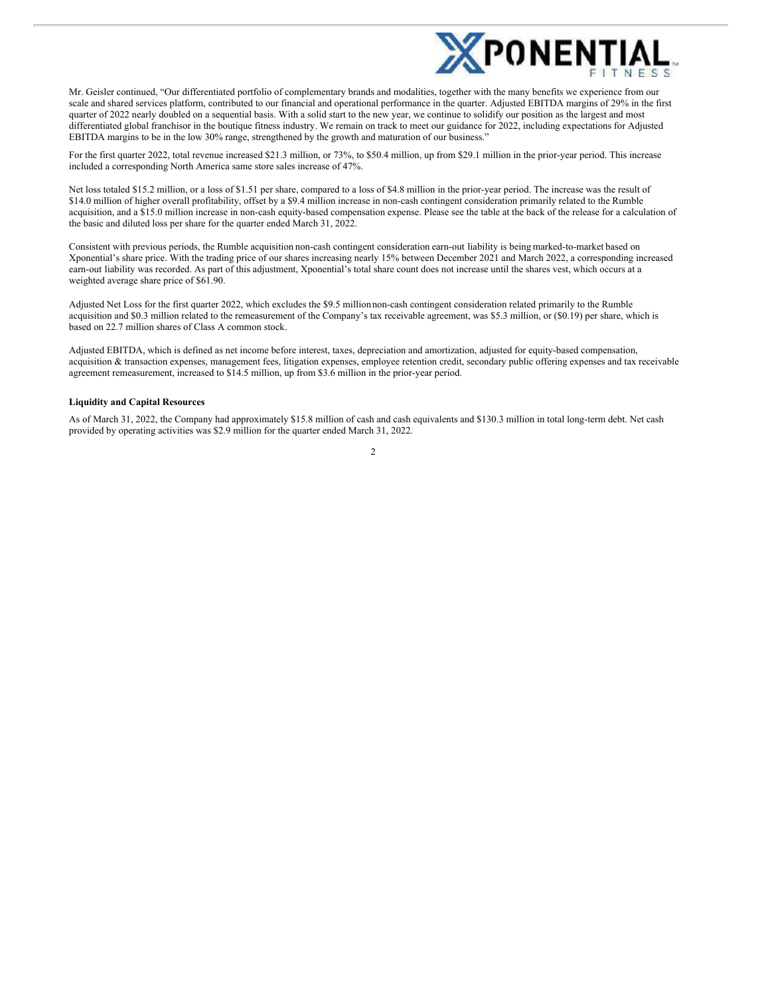

Mr. Geisler continued, "Our differentiated portfolio of complementary brands and modalities, together with the many benefits we experience from our scale and shared services platform, contributed to our financial and operational performance in the quarter. Adjusted EBITDA margins of 29% in the first quarter of 2022 nearly doubled on a sequential basis. With a solid start to the new year, we continue to solidify our position as the largest and most differentiated global franchisor in the boutique fitness industry. We remain on track to meet our guidance for 2022, including expectations for Adjusted EBITDA margins to be in the low 30% range, strengthened by the growth and maturation of our business."

For the first quarter 2022, total revenue increased \$21.3 million, or 73%, to \$50.4 million, up from \$29.1 million in the prior-year period. This increase included a corresponding North America same store sales increase of 47%.

Net loss totaled \$15.2 million, or a loss of \$1.51 per share, compared to a loss of \$4.8 million in the prior-year period. The increase was the result of \$14.0 million of higher overall profitability, offset by a \$9.4 million increase in non-cash contingent consideration primarily related to the Rumble acquisition, and a \$15.0 million increase in non-cash equity-based compensation expense. Please see the table at the back of the release for a calculation of the basic and diluted loss per share for the quarter ended March 31, 2022.

Consistent with previous periods, the Rumble acquisition non-cash contingent consideration earn-out liability is being marked-to-market based on Xponential's share price. With the trading price of our shares increasing nearly 15% between December 2021 and March 2022, a corresponding increased earn-out liability was recorded. As part of this adjustment, Xponential's total share count does not increase until the shares vest, which occurs at a weighted average share price of \$61.90.

Adjusted Net Loss for the first quarter 2022, which excludes the \$9.5 millionnon-cash contingent consideration related primarily to the Rumble acquisition and \$0.3 million related to the remeasurement of the Company's tax receivable agreement, was \$5.3 million, or (\$0.19) per share, which is based on 22.7 million shares of Class A common stock.

Adjusted EBITDA, which is defined as net income before interest, taxes, depreciation and amortization, adjusted for equity-based compensation, acquisition & transaction expenses, management fees, litigation expenses, employee retention credit, secondary public offering expenses and tax receivable agreement remeasurement, increased to \$14.5 million, up from \$3.6 million in the prior-year period.

#### **Liquidity and Capital Resources**

As of March 31, 2022, the Company had approximately \$15.8 million of cash and cash equivalents and \$130.3 million in total long-term debt. Net cash provided by operating activities was \$2.9 million for the quarter ended March 31, 2022.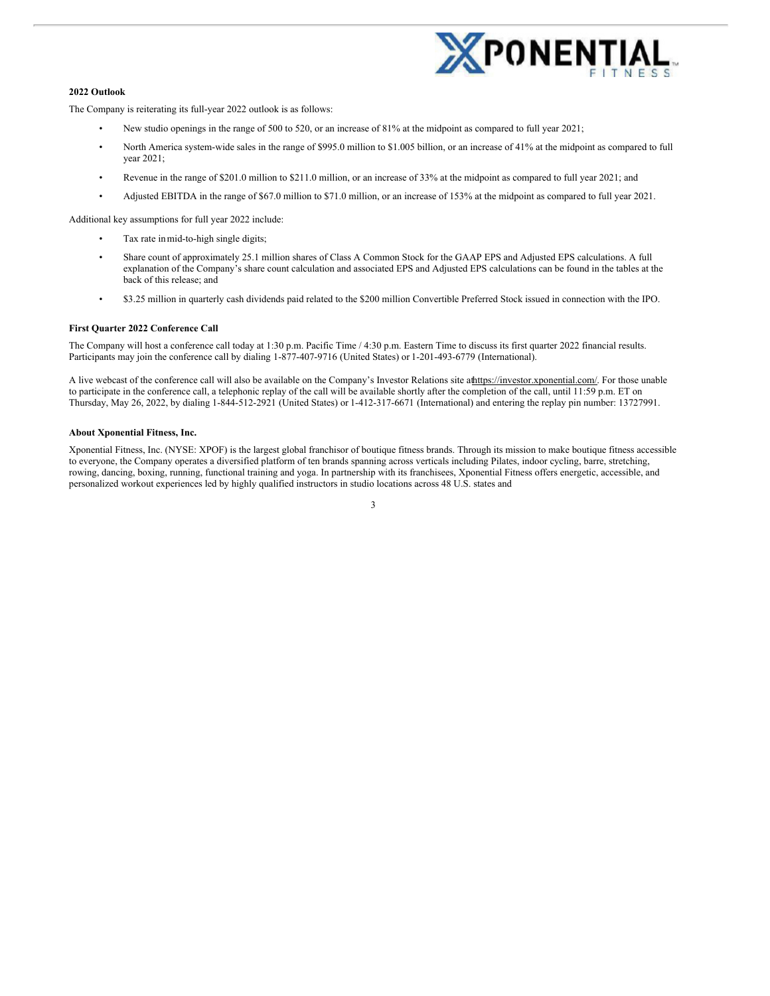

#### **2022 Outlook**

The Company is reiterating its full-year 2022 outlook is as follows:

- New studio openings in the range of 500 to 520, or an increase of 81% at the midpoint as compared to full year 2021;
- North America system-wide sales in the range of \$995.0 million to \$1.005 billion, or an increase of 41% at the midpoint as compared to full year 2021;
- Revenue in the range of \$201.0 million to \$211.0 million, or an increase of 33% at the midpoint as compared to full year 2021; and
- Adjusted EBITDA in the range of \$67.0 million to \$71.0 million, or an increase of 153% at the midpoint as compared to full year 2021.

Additional key assumptions for full year 2022 include:

- Tax rate in mid-to-high single digits;
- Share count of approximately 25.1 million shares of Class A Common Stock for the GAAP EPS and Adjusted EPS calculations. A full explanation of the Company's share count calculation and associated EPS and Adjusted EPS calculations can be found in the tables at the back of this release; and
- \$3.25 million in quarterly cash dividends paid related to the \$200 million Convertible Preferred Stock issued in connection with the IPO.

#### **First Quarter 2022 Conference Call**

The Company will host a conference call today at 1:30 p.m. Pacific Time / 4:30 p.m. Eastern Time to discuss its first quarter 2022 financial results. Participants may join the conference call by dialing 1-877-407-9716 (United States) or 1-201-493-6779 (International).

A live webcast of the conference call will also be available on the Company's Investor Relations site athttps://investor.xponential.com/. For those unable to participate in the conference call, a telephonic replay of the call will be available shortly after the completion of the call, until 11:59 p.m. ET on Thursday, May 26, 2022, by dialing 1-844-512-2921 (United States) or 1-412-317-6671 (International) and entering the replay pin number: 13727991.

#### **About Xponential Fitness, Inc.**

Xponential Fitness, Inc. (NYSE: XPOF) is the largest global franchisor of boutique fitness brands. Through its mission to make boutique fitness accessible to everyone, the Company operates a diversified platform of ten brands spanning across verticals including Pilates, indoor cycling, barre, stretching, rowing, dancing, boxing, running, functional training and yoga. In partnership with its franchisees, Xponential Fitness offers energetic, accessible, and personalized workout experiences led by highly qualified instructors in studio locations across 48 U.S. states and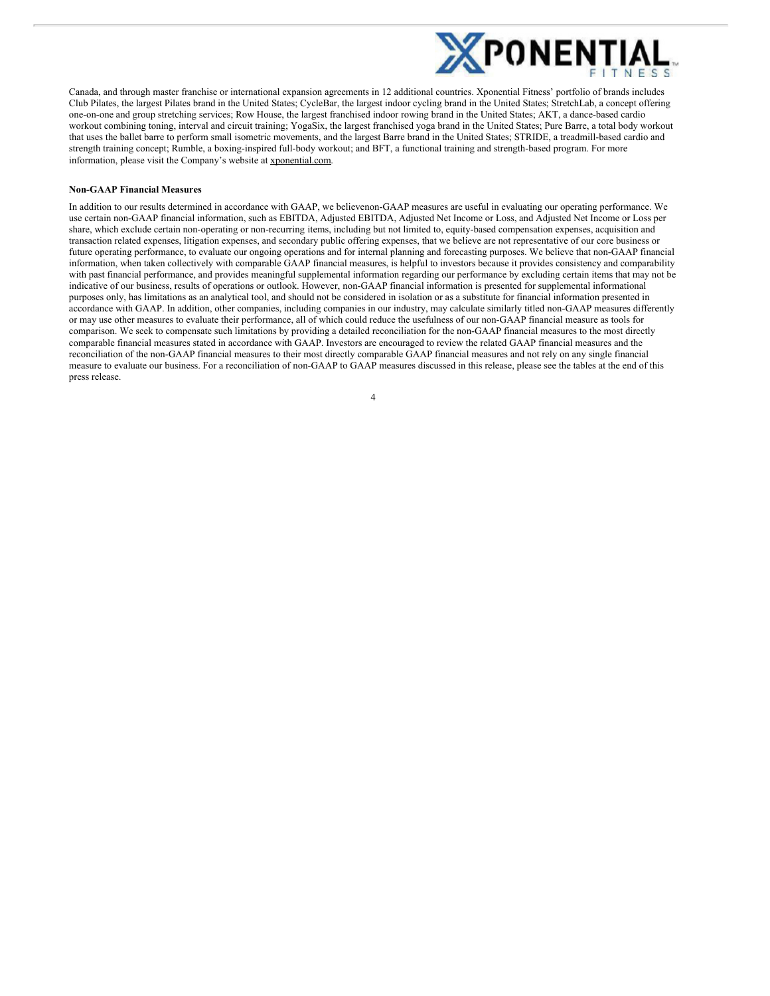

Canada, and through master franchise or international expansion agreements in 12 additional countries. Xponential Fitness' portfolio of brands includes Club Pilates, the largest Pilates brand in the United States; CycleBar, the largest indoor cycling brand in the United States; StretchLab, a concept offering one-on-one and group stretching services; Row House, the largest franchised indoor rowing brand in the United States; AKT, a dance-based cardio workout combining toning, interval and circuit training; YogaSix, the largest franchised yoga brand in the United States; Pure Barre, a total body workout that uses the ballet barre to perform small isometric movements, and the largest Barre brand in the United States; STRIDE, a treadmill-based cardio and strength training concept; Rumble, a boxing-inspired full-body workout; and BFT, a functional training and strength-based program. For more information, please visit the Company's website at xponential.com.

#### **Non-GAAP Financial Measures**

In addition to our results determined in accordance with GAAP, we believenon-GAAP measures are useful in evaluating our operating performance. We use certain non-GAAP financial information, such as EBITDA, Adjusted EBITDA, Adjusted Net Income or Loss, and Adjusted Net Income or Loss per share, which exclude certain non-operating or non-recurring items, including but not limited to, equity-based compensation expenses, acquisition and transaction related expenses, litigation expenses, and secondary public offering expenses, that we believe are not representative of our core business or future operating performance, to evaluate our ongoing operations and for internal planning and forecasting purposes. We believe that non-GAAP financial information, when taken collectively with comparable GAAP financial measures, is helpful to investors because it provides consistency and comparability with past financial performance, and provides meaningful supplemental information regarding our performance by excluding certain items that may not be indicative of our business, results of operations or outlook. However, non-GAAP financial information is presented for supplemental informational purposes only, has limitations as an analytical tool, and should not be considered in isolation or as a substitute for financial information presented in accordance with GAAP. In addition, other companies, including companies in our industry, may calculate similarly titled non-GAAP measures differently or may use other measures to evaluate their performance, all of which could reduce the usefulness of our non-GAAP financial measure as tools for comparison. We seek to compensate such limitations by providing a detailed reconciliation for the non-GAAP financial measures to the most directly comparable financial measures stated in accordance with GAAP. Investors are encouraged to review the related GAAP financial measures and the reconciliation of the non-GAAP financial measures to their most directly comparable GAAP financial measures and not rely on any single financial measure to evaluate our business. For a reconciliation of non-GAAP to GAAP measures discussed in this release, please see the tables at the end of this press release.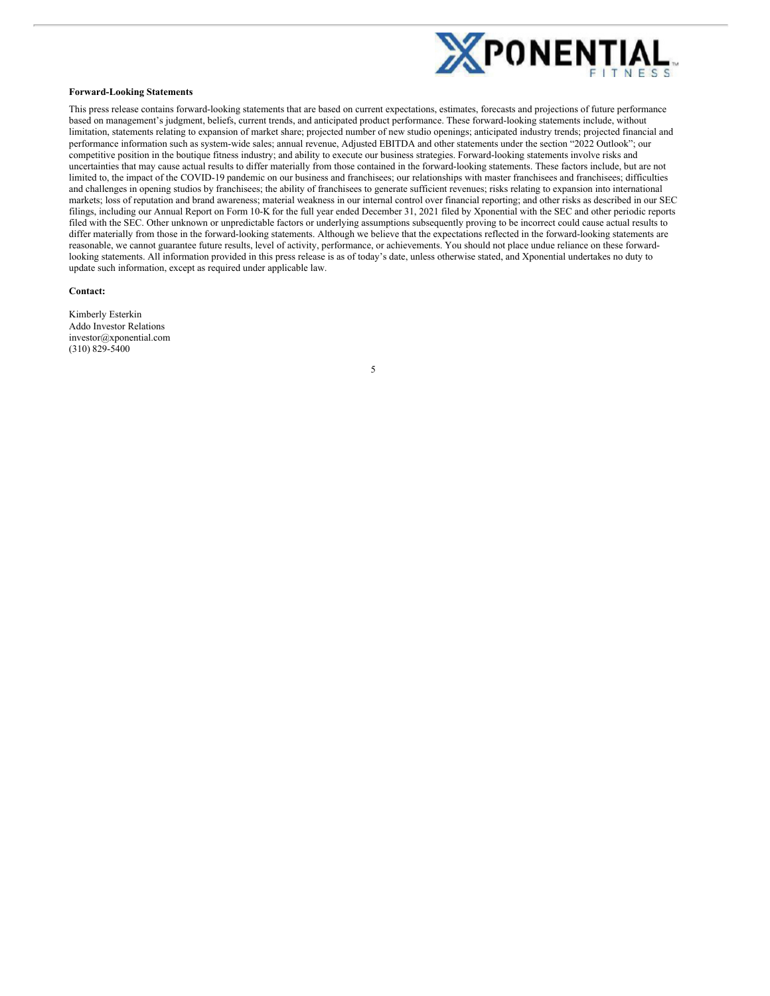<span id="page-7-0"></span>

#### **Forward-Looking Statements**

This press release contains forward-looking statements that are based on current expectations, estimates, forecasts and projections of future performance based on management's judgment, beliefs, current trends, and anticipated product performance. These forward-looking statements include, without limitation, statements relating to expansion of market share; projected number of new studio openings; anticipated industry trends; projected financial and performance information such as system-wide sales; annual revenue, Adjusted EBITDA and other statements under the section "2022 Outlook"; our competitive position in the boutique fitness industry; and ability to execute our business strategies. Forward-looking statements involve risks and uncertainties that may cause actual results to differ materially from those contained in the forward-looking statements. These factors include, but are not limited to, the impact of the COVID-19 pandemic on our business and franchisees; our relationships with master franchisees and franchisees; difficulties and challenges in opening studios by franchisees; the ability of franchisees to generate sufficient revenues; risks relating to expansion into international markets; loss of reputation and brand awareness; material weakness in our internal control over financial reporting; and other risks as described in our SEC filings, including our Annual Report on Form 10-K for the full year ended December 31, 2021 filed by Xponential with the SEC and other periodic reports filed with the SEC. Other unknown or unpredictable factors or underlying assumptions subsequently proving to be incorrect could cause actual results to differ materially from those in the forward-looking statements. Although we believe that the expectations reflected in the forward-looking statements are reasonable, we cannot guarantee future results, level of activity, performance, or achievements. You should not place undue reliance on these forwardlooking statements. All information provided in this press release is as of today's date, unless otherwise stated, and Xponential undertakes no duty to update such information, except as required under applicable law.

#### **Contact:**

Kimberly Esterkin Addo Investor Relations investor@xponential.com (310) 829-5400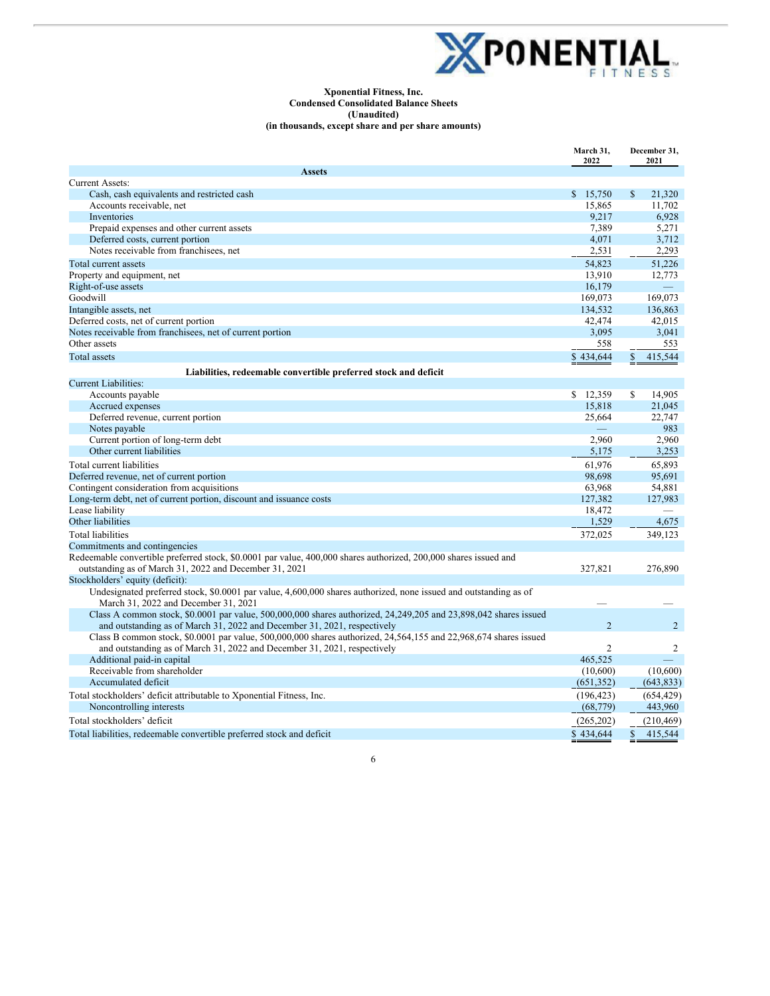

#### **Xponential Fitness, Inc. Condensed Consolidated Balance Sheets (Unaudited) (in thousands, except share and per share amounts)**

|                                                                                                                  | March 31,<br>2022 | December 31,<br>2021                |
|------------------------------------------------------------------------------------------------------------------|-------------------|-------------------------------------|
| <b>Assets</b>                                                                                                    |                   |                                     |
| <b>Current Assets:</b>                                                                                           |                   |                                     |
| Cash, cash equivalents and restricted cash                                                                       | \$15,750          | $\mathbb{S}$<br>21,320              |
| Accounts receivable, net                                                                                         | 15,865            | 11,702                              |
| <b>Inventories</b>                                                                                               | 9,217             | 6,928                               |
| Prepaid expenses and other current assets                                                                        | 7,389             | 5,271                               |
| Deferred costs, current portion                                                                                  | 4,071             | 3,712                               |
| Notes receivable from franchisees, net                                                                           | 2,531             | 2,293                               |
| Total current assets                                                                                             | 54,823            | 51,226                              |
| Property and equipment, net                                                                                      | 13,910            | 12,773                              |
| Right-of-use assets                                                                                              | 16,179            |                                     |
| Goodwill                                                                                                         | 169,073           | 169,073                             |
| Intangible assets, net                                                                                           | 134,532           | 136,863                             |
| Deferred costs, net of current portion                                                                           | 42,474            | 42,015                              |
| Notes receivable from franchisees, net of current portion                                                        | 3,095             | 3,041                               |
| Other assets                                                                                                     | 558               | 553                                 |
| Total assets                                                                                                     | \$434,644         | $\underline{\mathbb{S}}$<br>415,544 |
| Liabilities, redeemable convertible preferred stock and deficit                                                  |                   |                                     |
| <b>Current Liabilities:</b>                                                                                      |                   |                                     |
| Accounts payable                                                                                                 | \$12,359          | \$<br>14,905                        |
| Accrued expenses                                                                                                 | 15,818            | 21,045                              |
| Deferred revenue, current portion                                                                                | 25,664            | 22,747                              |
| Notes payable                                                                                                    |                   | 983                                 |
| Current portion of long-term debt                                                                                | 2,960             | 2,960                               |
| Other current liabilities                                                                                        | 5,175             | 3,253                               |
| Total current liabilities                                                                                        | 61,976            | 65,893                              |
| Deferred revenue, net of current portion                                                                         | 98,698            | 95,691                              |
| Contingent consideration from acquisitions                                                                       | 63,968            | 54,881                              |
| Long-term debt, net of current portion, discount and issuance costs                                              | 127,382           | 127,983                             |
| Lease liability                                                                                                  | 18,472            |                                     |
| Other liabilities                                                                                                | 1,529             | 4,675                               |
| <b>Total liabilities</b>                                                                                         | 372,025           | 349,123                             |
| Commitments and contingencies                                                                                    |                   |                                     |
| Redeemable convertible preferred stock, \$0.0001 par value, 400,000 shares authorized, 200,000 shares issued and |                   |                                     |
| outstanding as of March 31, 2022 and December 31, 2021                                                           | 327,821           | 276,890                             |
| Stockholders' equity (deficit):                                                                                  |                   |                                     |
| Undesignated preferred stock, \$0.0001 par value, 4,600,000 shares authorized, none issued and outstanding as of |                   |                                     |
| March 31, 2022 and December 31, 2021                                                                             |                   |                                     |
| Class A common stock, \$0.0001 par value, 500,000,000 shares authorized, 24,249,205 and 23,898,042 shares issued |                   |                                     |
| and outstanding as of March 31, 2022 and December 31, 2021, respectively                                         | $\overline{2}$    | $\overline{2}$                      |
| Class B common stock, \$0.0001 par value, 500,000,000 shares authorized, 24,564,155 and 22,968,674 shares issued |                   |                                     |
| and outstanding as of March 31, 2022 and December 31, 2021, respectively                                         | $\overline{2}$    | 2                                   |
| Additional paid-in capital                                                                                       | 465,525           |                                     |
| Receivable from shareholder                                                                                      | (10,600)          | (10,600)                            |
| Accumulated deficit                                                                                              | (651, 352)        | (643, 833)                          |
| Total stockholders' deficit attributable to Xponential Fitness, Inc.                                             | (196, 423)        | (654, 429)                          |
| Noncontrolling interests                                                                                         | (68, 779)         | 443,960                             |
| Total stockholders' deficit                                                                                      | (265, 202)        | (210, 469)                          |
| Total liabilities, redeemable convertible preferred stock and deficit                                            | \$434,644         | \$<br>415,544                       |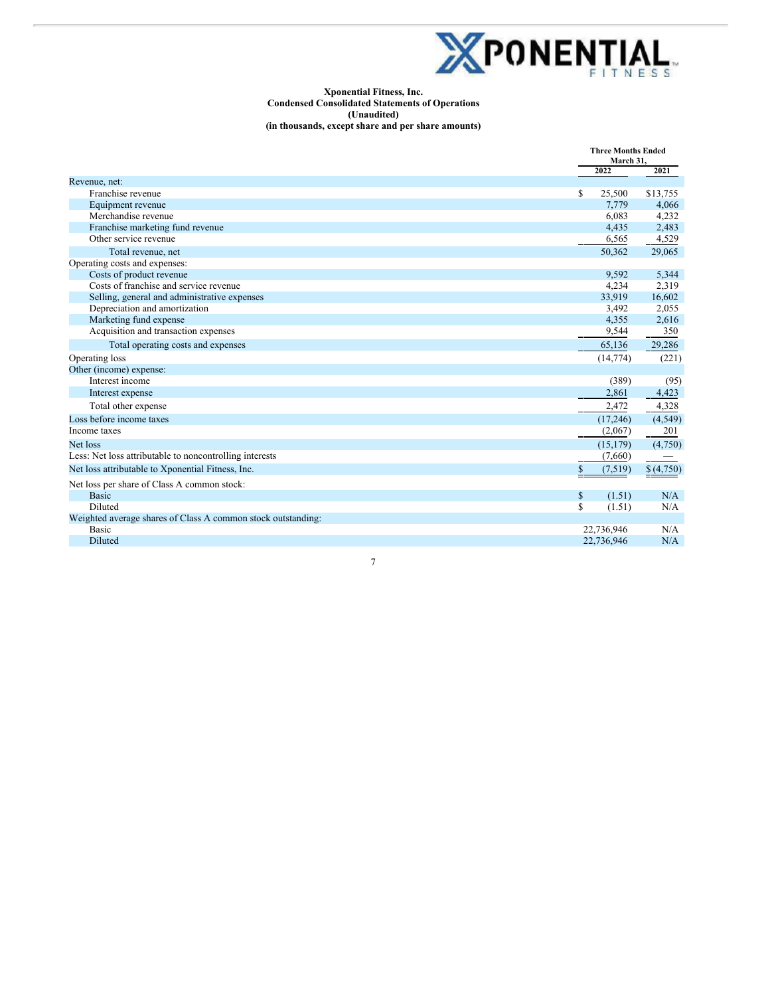

#### **Xponential Fitness, Inc. Condensed Consolidated Statements of Operations (Unaudited) (in thousands, except share and per share amounts)**

|                                                              | <b>Three Months Ended</b><br>March 31. |           |
|--------------------------------------------------------------|----------------------------------------|-----------|
|                                                              | 2022                                   | 2021      |
| Revenue, net:                                                |                                        |           |
| Franchise revenue                                            | \$<br>25,500                           | \$13,755  |
| Equipment revenue                                            | 7,779                                  | 4,066     |
| Merchandise revenue                                          | 6,083                                  | 4,232     |
| Franchise marketing fund revenue                             | 4,435                                  | 2,483     |
| Other service revenue                                        | 6,565                                  | 4,529     |
| Total revenue, net                                           | 50,362                                 | 29,065    |
| Operating costs and expenses:                                |                                        |           |
| Costs of product revenue                                     | 9.592                                  | 5,344     |
| Costs of franchise and service revenue                       | 4,234                                  | 2,319     |
| Selling, general and administrative expenses                 | 33,919                                 | 16,602    |
| Depreciation and amortization                                | 3,492                                  | 2,055     |
| Marketing fund expense                                       | 4,355                                  | 2,616     |
| Acquisition and transaction expenses                         | 9,544                                  | 350       |
| Total operating costs and expenses                           | 65,136                                 | 29,286    |
| Operating loss                                               | (14, 774)                              | (221)     |
| Other (income) expense:                                      |                                        |           |
| Interest income                                              | (389)                                  | (95)      |
| Interest expense                                             | 2,861                                  | 4,423     |
| Total other expense                                          | 2,472                                  | 4,328     |
| Loss before income taxes                                     | (17, 246)                              | (4,549)   |
| Income taxes                                                 | (2,067)                                | 201       |
| Net loss                                                     | (15, 179)                              | (4,750)   |
| Less: Net loss attributable to noncontrolling interests      | (7,660)                                |           |
| Net loss attributable to Xponential Fitness, Inc.            | \$<br>(7,519)                          | \$(4,750) |
| Net loss per share of Class A common stock:                  |                                        |           |
| <b>Basic</b>                                                 | \$<br>(1.51)                           | N/A       |
| Diluted                                                      | \$<br>(1.51)                           | N/A       |
| Weighted average shares of Class A common stock outstanding: |                                        |           |
| <b>Basic</b>                                                 | 22,736,946                             | N/A       |
| Diluted                                                      | 22,736,946                             | N/A       |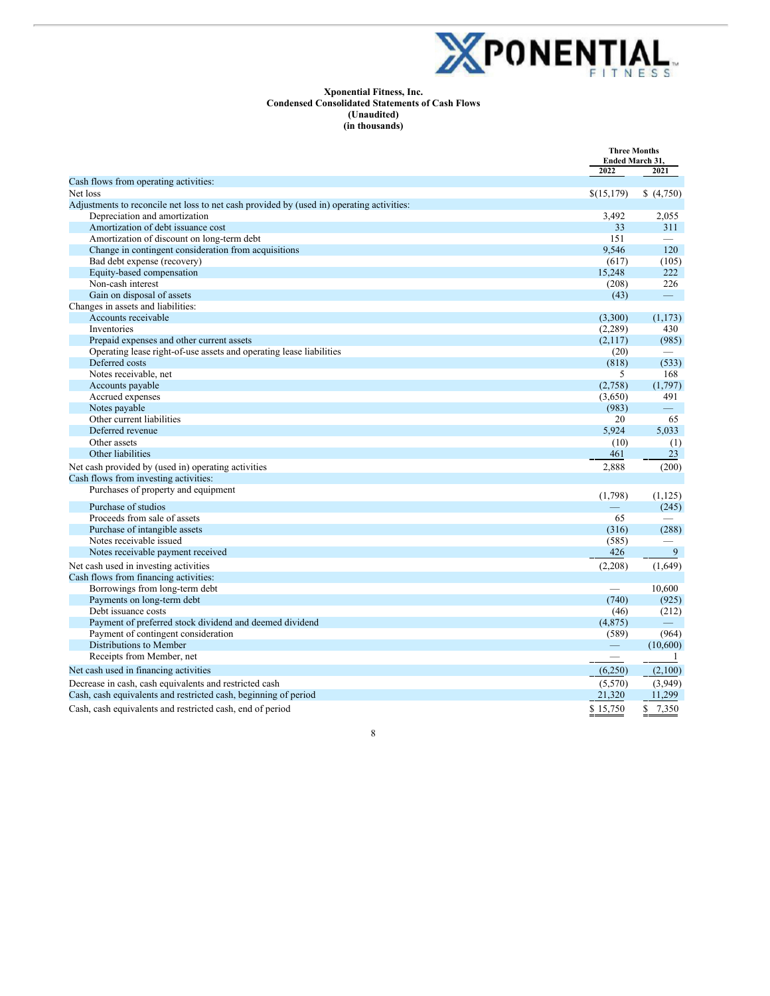

#### **Xponential Fitness, Inc. Condensed Consolidated Statements of Cash Flows (Unaudited) (in thousands)**

|                                                                                           | <b>Three Months</b><br><b>Ended March 31.</b> |                          |
|-------------------------------------------------------------------------------------------|-----------------------------------------------|--------------------------|
|                                                                                           | 2022                                          | 2021                     |
| Cash flows from operating activities:                                                     |                                               |                          |
| Net loss                                                                                  | \$(15,179)                                    | (4,750)                  |
| Adjustments to reconcile net loss to net cash provided by (used in) operating activities: |                                               |                          |
| Depreciation and amortization                                                             | 3,492                                         | 2,055                    |
| Amortization of debt issuance cost                                                        | 33                                            | 311                      |
| Amortization of discount on long-term debt                                                | 151                                           |                          |
| Change in contingent consideration from acquisitions                                      | 9,546                                         | 120                      |
| Bad debt expense (recovery)                                                               | (617)                                         | (105)                    |
| Equity-based compensation                                                                 | 15,248                                        | 222                      |
| Non-cash interest                                                                         | (208)                                         | 226                      |
| Gain on disposal of assets                                                                | (43)                                          | $\overline{\phantom{0}}$ |
| Changes in assets and liabilities:                                                        |                                               |                          |
| Accounts receivable                                                                       | (3,300)                                       | (1,173)                  |
| Inventories                                                                               | (2,289)                                       | 430                      |
| Prepaid expenses and other current assets                                                 | (2,117)                                       | (985)                    |
| Operating lease right-of-use assets and operating lease liabilities                       | (20)                                          |                          |
| Deferred costs                                                                            | (818)                                         | (533)                    |
| Notes receivable, net                                                                     | 5                                             | 168                      |
| Accounts payable                                                                          | (2,758)                                       | (1,797)                  |
| Accrued expenses                                                                          | (3,650)                                       | 491                      |
| Notes payable                                                                             | (983)                                         | $\equiv$                 |
| Other current liabilities                                                                 | 20                                            | 65                       |
| Deferred revenue                                                                          | 5,924                                         | 5,033                    |
| Other assets                                                                              | (10)                                          | (1)                      |
| Other liabilities                                                                         | 461                                           | 23                       |
| Net cash provided by (used in) operating activities                                       | 2,888                                         | (200)                    |
| Cash flows from investing activities:                                                     |                                               |                          |
| Purchases of property and equipment                                                       | (1,798)                                       | (1,125)                  |
| Purchase of studios                                                                       | $\equiv$                                      | (245)                    |
| Proceeds from sale of assets                                                              | 65                                            |                          |
| Purchase of intangible assets                                                             | (316)                                         | (288)                    |
| Notes receivable issued                                                                   | (585)                                         |                          |
| Notes receivable payment received                                                         | 426                                           | 9                        |
| Net cash used in investing activities                                                     | (2,208)                                       | (1,649)                  |
| Cash flows from financing activities:                                                     |                                               |                          |
| Borrowings from long-term debt                                                            | $\overline{\phantom{0}}$                      | 10,600                   |
| Payments on long-term debt                                                                | (740)                                         | (925)                    |
| Debt issuance costs                                                                       | (46)                                          | (212)                    |
| Payment of preferred stock dividend and deemed dividend                                   | (4,875)                                       |                          |
| Payment of contingent consideration                                                       | (589)                                         | (964)                    |
| Distributions to Member                                                                   |                                               | (10,600)                 |
| Receipts from Member, net                                                                 | $\overbrace{\phantom{12333}}$                 | -1                       |
| Net cash used in financing activities                                                     | (6,250)                                       | (2,100)                  |
| Decrease in cash, cash equivalents and restricted cash                                    | (5,570)                                       | (3,949)                  |
| Cash, cash equivalents and restricted cash, beginning of period                           | 21,320                                        | 11,299                   |
| Cash, cash equivalents and restricted cash, end of period                                 | \$15.750                                      | \$7,350                  |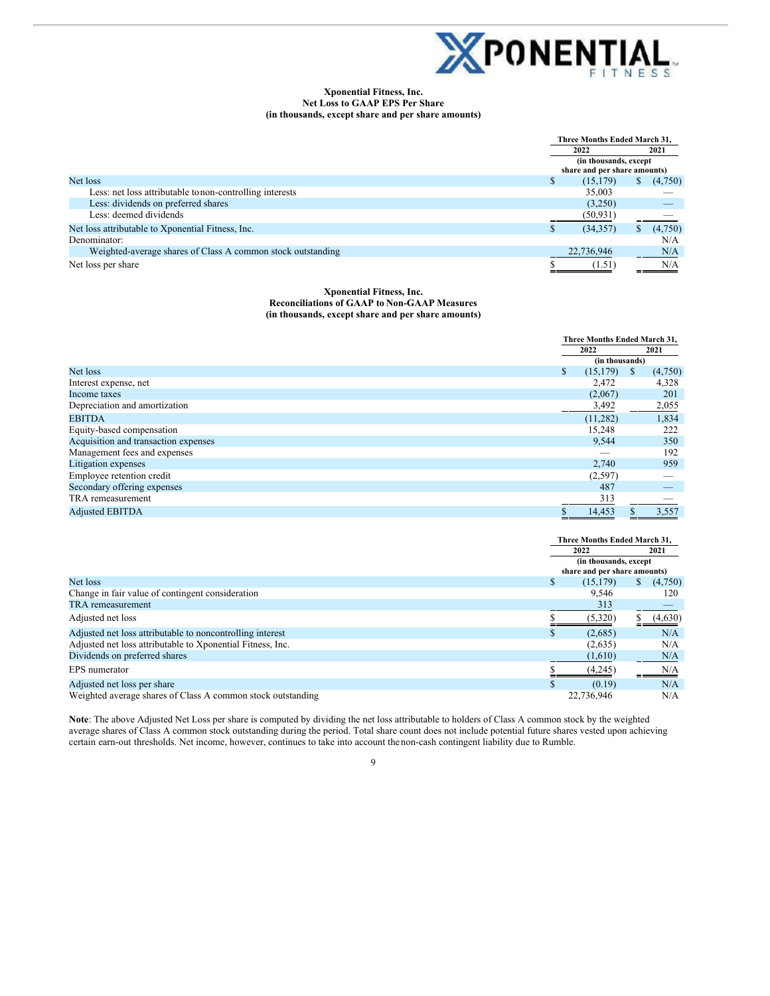

#### **Xponential Fitness, Inc. Net Loss to GAAP EPS Per Share (in thousands, except share and per share amounts)**

|                                                             |  | Three Months Ended March 31,                           |      |         |
|-------------------------------------------------------------|--|--------------------------------------------------------|------|---------|
|                                                             |  | 2022                                                   | 2021 |         |
|                                                             |  | (in thousands, except)<br>share and per share amounts) |      |         |
|                                                             |  |                                                        |      |         |
| Net loss                                                    |  | (15, 179)                                              |      | (4,750) |
| Less: net loss attributable to non-controlling interests    |  | 35,003                                                 |      |         |
| Less: dividends on preferred shares                         |  | (3,250)                                                |      |         |
| Less: deemed dividends                                      |  | (50,931)                                               |      |         |
| Net loss attributable to Xponential Fitness, Inc.           |  | (34, 357)                                              |      | (4,750) |
| Denominator:                                                |  |                                                        |      | N/A     |
| Weighted-average shares of Class A common stock outstanding |  | 22,736,946                                             |      | N/A     |
| Net loss per share                                          |  | (1.51)                                                 |      | N/A     |

#### **Xponential Fitness, Inc. Reconciliations of GAAP to Non-GAAP Measures (in thousands, except share and per share amounts)**

|                                      | Three Months Ended March 31, |              |         |
|--------------------------------------|------------------------------|--------------|---------|
|                                      | 2022                         |              | 2021    |
|                                      | (in thousands)               |              |         |
| Net loss                             | \$<br>(15, 179)              | <sup>S</sup> | (4,750) |
| Interest expense, net                | 2,472                        |              | 4,328   |
| Income taxes                         | (2,067)                      |              | 201     |
| Depreciation and amortization        | 3,492                        |              | 2,055   |
| <b>EBITDA</b>                        | (11, 282)                    |              | 1,834   |
| Equity-based compensation            | 15,248                       |              | 222     |
| Acquisition and transaction expenses | 9,544                        |              | 350     |
| Management fees and expenses         |                              |              | 192     |
| Litigation expenses                  | 2,740                        |              | 959     |
| Employee retention credit            | (2,597)                      |              |         |
| Secondary offering expenses          | 487                          |              |         |
| TRA remeasurement                    | 313                          |              |         |
| <b>Adjusted EBITDA</b>               | 14,453                       |              | 3,557   |

|                                                             |   | Three Months Ended March 31.                           |   |         |  |
|-------------------------------------------------------------|---|--------------------------------------------------------|---|---------|--|
|                                                             |   | 2022                                                   |   | 2021    |  |
|                                                             |   | (in thousands, except)<br>share and per share amounts) |   |         |  |
|                                                             |   |                                                        |   |         |  |
| Net loss                                                    | S | (15, 179)                                              | S | (4,750) |  |
| Change in fair value of contingent consideration            |   | 9.546                                                  |   | 120     |  |
| TRA remeasurement                                           |   | 313                                                    |   |         |  |
| Adjusted net loss                                           |   | (5,320)                                                |   | (4,630) |  |
| Adjusted net loss attributable to noncontrolling interest   |   | (2.685)                                                |   | N/A     |  |
| Adjusted net loss attributable to Xponential Fitness, Inc.  |   | (2,635)                                                |   | N/A     |  |
| Dividends on preferred shares                               |   | (1,610)                                                |   | N/A     |  |
| EPS numerator                                               |   | (4,245)                                                |   | N/A     |  |
| Adjusted net loss per share                                 |   | (0.19)                                                 |   | N/A     |  |
| Weighted average shares of Class A common stock outstanding |   | 22,736,946                                             |   | N/A     |  |

**Note**: The above Adjusted Net Loss per share is computed by dividing the net loss attributable to holders of Class A common stock by the weighted average shares of Class A common stock outstanding during the period. Total share count does not include potential future shares vested upon achieving certain earn-out thresholds. Net income, however, continues to take into account thenon-cash contingent liability due to Rumble.